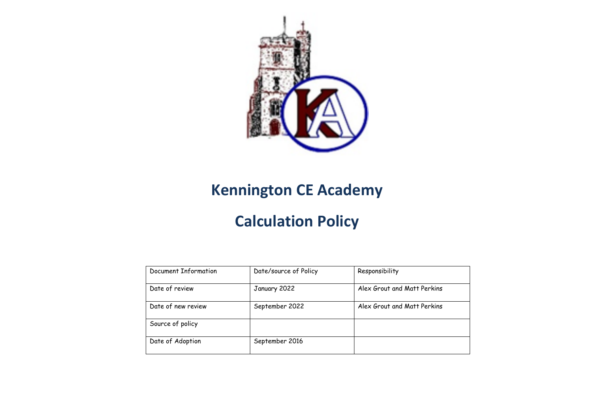

## **Kennington CE Academy**

## **Calculation Policy**

| Document Information | Date/source of Policy | Responsibility              |
|----------------------|-----------------------|-----------------------------|
| Date of review       | January 2022          | Alex Grout and Matt Perkins |
| Date of new review   | September 2022        | Alex Grout and Matt Perkins |
| Source of policy     |                       |                             |
| Date of Adoption     | September 2016        |                             |